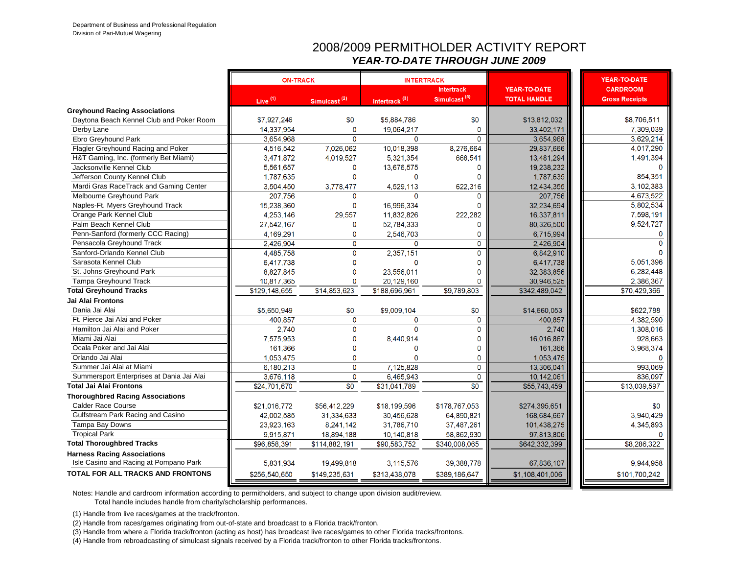#### 2008/2009 PERMITHOLDER ACTIVITY REPORT*YEAR-TO-DATE THROUGH JUNE 2009*

|                                           | <b>ON-TRACK</b> |                          | <b>INTERTRACK</b>         |                          |                     | <b>YEAR-TO-DATE</b>   |
|-------------------------------------------|-----------------|--------------------------|---------------------------|--------------------------|---------------------|-----------------------|
|                                           |                 |                          |                           | <b>Intertrack</b>        | YEAR-TO-DATE        | <b>CARDROOM</b>       |
|                                           | Live $(1)$      | Simulcast <sup>(2)</sup> | Intertrack <sup>(3)</sup> | Simulcast <sup>(4)</sup> | <b>TOTAL HANDLE</b> | <b>Gross Receipts</b> |
| <b>Greyhound Racing Associations</b>      |                 |                          |                           |                          |                     |                       |
| Daytona Beach Kennel Club and Poker Room  | \$7,927,246     | \$0                      | \$5,884,786               | \$0                      | \$13,812,032        | \$8,706,511           |
| Derby Lane                                | 14.337.954      | $\Omega$                 | 19.064.217                | $\mathbf 0$              | 33.402.171          | 7.309.039             |
| Ebro Greyhound Park                       | 3.654.968       | $\Omega$                 | $\mathbf{0}$              | $\Omega$                 | 3.654.968           | 3.629.214             |
| Flagler Greyhound Racing and Poker        | 4,516,542       | 7,026,062                | 10,018,398                | 8.276.664                | 29,837,666          | 4,017,290             |
| H&T Gaming, Inc. (formerly Bet Miami)     | 3,471,872       | 4,019,527                | 5,321,354                 | 668,541                  | 13,481,294          | 1,491,394             |
| Jacksonville Kennel Club                  | 5,561,657       | $\mathbf 0$              | 13,676,575                | 0                        | 19,238,232          |                       |
| Jefferson County Kennel Club              | 1,787,635       | 0                        | $\Omega$                  | 0                        | 1,787,635           | 854,351               |
| Mardi Gras RaceTrack and Gaming Center    | 3,504,450       | 3,778,477                | 4,529,113                 | 622,316                  | 12,434,355          | 3.102.383             |
| Melbourne Greyhound Park                  | 207,756         | $\Omega$                 | $\Omega$                  | $\Omega$                 | 207,756             | 4,673,522             |
| Naples-Ft. Myers Greyhound Track          | 15,238,360      | $\mathbf 0$              | 16.996.334                | $\Omega$                 | 32,234,694          | 5,802,534             |
| Orange Park Kennel Club                   | 4,253,146       | 29,557                   | 11,832,826                | 222,282                  | 16.337.811          | 7,598,191             |
| Palm Beach Kennel Club                    | 27,542,167      | $\mathbf{0}$             | 52,784,333                | 0                        | 80,326,500          | 9,524,727             |
| Penn-Sanford (formerly CCC Racing)        | 4,169,291       | $\mathbf 0$              | 2,546,703                 | 0                        | 6.715.994           | $\mathbf{0}$          |
| Pensacola Greyhound Track                 | 2,426,904       | $\mathbf 0$              | $\mathbf 0$               | $\mathbf 0$              | 2,426,904           | 0                     |
| Sanford-Orlando Kennel Club               | 4.485.758       | $\mathbf 0$              | 2,357,151                 | 0                        | 6.842.910           | $\Omega$              |
| Sarasota Kennel Club                      | 6,417,738       | $\mathbf 0$              | $\Omega$                  | $\mathbf{0}$             | 6,417,738           | 5,051,396             |
| St. Johns Greyhound Park                  | 8,827,845       | $\mathbf 0$              | 23,556,011                | Ō                        | 32,383,856          | 6,282,448             |
| <b>Tampa Greyhound Track</b>              | 10,817,365      | $\bf{0}$                 | 20,129,160                | 0                        | 30,946,525          | 2,386,367             |
| <b>Total Greyhound Tracks</b>             | \$129,148,655   | \$14,853,623             | \$188,696,961             | \$9,789,803              | \$342,489,042       | \$70,429,366          |
| Jai Alai Frontons                         |                 |                          |                           |                          |                     |                       |
| Dania Jai Alai                            | \$5.650.949     | \$0                      | \$9,009,104               | \$0                      | \$14,660,053        | \$622.788             |
| Ft. Pierce Jai Alai and Poker             | 400.857         | $\mathbf{0}$             | $\Omega$                  | $\mathbf{O}$             | 400,857             | 4,382,590             |
| Hamilton Jai Alai and Poker               | 2,740           | $\mathbf{0}$             | $\Omega$                  | $\Omega$                 | 2,740               | 1,308,016             |
| Miami Jai Alai                            | 7,575,953       | $\mathbf{0}$             | 8,440,914                 | Ō                        | 16,016,867          | 928,663               |
| Ocala Poker and Jai Alai                  | 161,366         | $\Omega$                 | $\Omega$                  | 0                        | 161,366             | 3,968,374             |
| Orlando Jai Alai                          | 1,053,475       | $\Omega$                 | $\Omega$                  | Ō                        | 1,053,475           |                       |
| Summer Jai Alai at Miami                  | 6.180.213       | $\mathbf 0$              | 7.125.828                 | $\Omega$                 | 13,306,041          | 993.069               |
| Summersport Enterprises at Dania Jai Alai | 3,676,118       | $\mathbf 0$              | 6,465,943                 | 0                        | 10,142,061          | 836,097               |
| <b>Total Jai Alai Frontons</b>            | \$24,701,670    | $\overline{30}$          | \$31,041,789              | $\overline{30}$          | \$55,743,459        | \$13,039.597          |
| <b>Thoroughbred Racing Associations</b>   |                 |                          |                           |                          |                     |                       |
| <b>Calder Race Course</b>                 | \$21,016,772    | \$56,412,229             | \$18,199,596              | \$178,767,053            | \$274.395,651       | \$0                   |
| Gulfstream Park Racing and Casino         | 42,002,585      | 31,334,633               | 30,456,628                | 64,890,821               | 168,684,667         | 3.940.429             |
| Tampa Bay Downs                           | 23,923,163      | 8,241,142                | 31.786.710                | 37,487,261               | 101,438,275         | 4,345,893             |
| <b>Tropical Park</b>                      | 9.915.871       | 18,894,188               | 10,140,818                | 58,862,930               | 97,813,806          |                       |
| <b>Total Thoroughbred Tracks</b>          | \$96,858,391    | \$114,882,191            | \$90,583,752              | \$340,008,065            | \$642,332,399       | \$8,286,322           |
| <b>Harness Racing Associations</b>        |                 |                          |                           |                          |                     |                       |
| Isle Casino and Racing at Pompano Park    | 5,831,934       | 19,499,818               | 3,115,576                 | 39,388,778               | 67,836,107          | 9.944.958             |
| <b>TOTAL FOR ALL TRACKS AND FRONTONS</b>  | \$256,540,650   | \$149,235,631            | \$313,438,078             | \$389,186,647            | \$1,108,401,006     | \$101,700,242         |
|                                           |                 |                          |                           |                          |                     |                       |

Notes: Handle and cardroom information according to permitholders, and subject to change upon division audit/review.

Total handle includes handle from charity/scholarship performances.

(1) Handle from live races/games at the track/fronton.

(2) Handle from races/games originating from out-of-state and broadcast to a Florida track/fronton.

(3) Handle from where a Florida track/fronton (acting as host) has broadcast live races/games to other Florida tracks/frontons.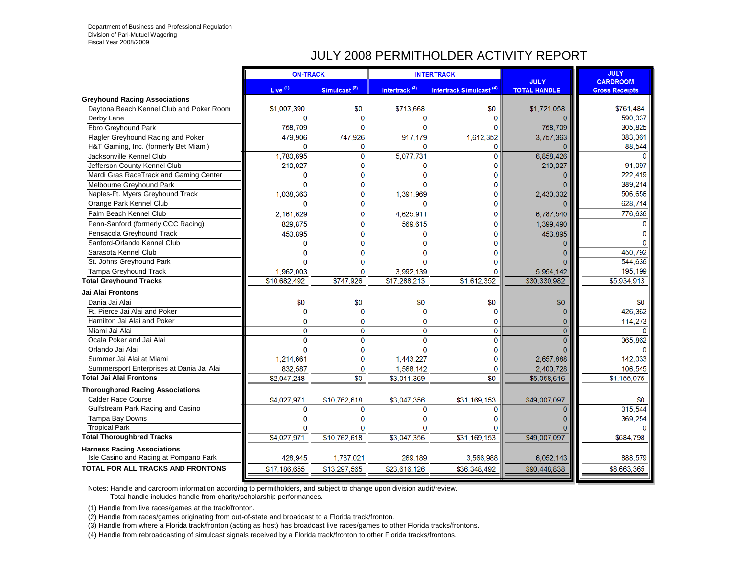#### JULY 2008 PERMITHOLDER ACTIVITY REPORT

|                                           | <b>ON-TRACK</b> |                 |                           | <b>INTERTRACK</b>                   |                                    | <b>JULY</b>                              |
|-------------------------------------------|-----------------|-----------------|---------------------------|-------------------------------------|------------------------------------|------------------------------------------|
|                                           | Live $(1)$      | Simulcast $(2)$ | Intertrack <sup>(3)</sup> | Intertrack Simulcast <sup>(4)</sup> | <b>JULY</b><br><b>TOTAL HANDLE</b> | <b>CARDROOM</b><br><b>Gross Receipts</b> |
| <b>Greyhound Racing Associations</b>      |                 |                 |                           |                                     |                                    |                                          |
| Daytona Beach Kennel Club and Poker Room  | \$1,007,390     | \$0             | \$713.668                 | \$0                                 | \$1,721,058                        | \$761.484                                |
| Derby Lane                                | $\mathbf{0}$    | $\Omega$        | $\Omega$                  | $\Omega$                            |                                    | 590,337                                  |
| Ebro Greyhound Park                       | 758,709         | $\Omega$        | $\Omega$                  | $\Omega$                            | 758,709                            | 305,825                                  |
| Flagler Greyhound Racing and Poker        | 479,906         | 747,926         | 917,179                   | 1,612,352                           | 3,757,363                          | 383,361                                  |
| H&T Gaming, Inc. (formerly Bet Miami)     | 0               | 0               | $\Omega$                  | $\mathbf{0}$                        | O                                  | 88,544                                   |
| Jacksonville Kennel Club                  | 1,780,695       | 0               | 5,077,731                 | $\overline{0}$                      | 6,858,426                          | $\Omega$                                 |
| Jefferson County Kennel Club              | 210,027         | $\Omega$        | $\Omega$                  | $\overline{0}$                      | 210,027                            | 91.097                                   |
| Mardi Gras RaceTrack and Gaming Center    | 0               | $\Omega$        | $\Omega$                  | $\mathbf{0}$                        |                                    | 222,419                                  |
| Melbourne Greyhound Park                  | 0               | 0               |                           | $\mathbf 0$                         |                                    | 389,214                                  |
| Naples-Ft. Myers Greyhound Track          | 1.038,363       | $\mathbf{0}$    | 1,391,969                 | 0                                   | 2,430,332                          | 506,656                                  |
| Orange Park Kennel Club                   | $\Omega$        | $\Omega$        | $\Omega$                  | 0                                   |                                    | 628,714                                  |
| Palm Beach Kennel Club                    | 2,161,629       | $\mathbf{O}$    | 4,625,911                 | 0                                   | 6,787,540                          | 776,636                                  |
| Penn-Sanford (formerly CCC Racing)        | 829,875         | $\mathbf{O}$    | 569,615                   | $\mathbf 0$                         | 1,399,490                          | $\Omega$                                 |
| Pensacola Greyhound Track                 | 453,895         | 0               | $\mathbf{0}$              | $\mathbf 0$                         | 453,895                            | 0                                        |
| Sanford-Orlando Kennel Club               | 0               | $\mathbf{0}$    | $\Omega$                  | $\mathbf 0$                         | 0                                  | $\Omega$                                 |
| Sarasota Kennel Club                      | 0               | $\mathbf{0}$    | $\Omega$                  | 0                                   | $\Omega$                           | 450.792                                  |
| St. Johns Greyhound Park                  | 0               | $\Omega$        | $\Omega$                  | $\Omega$                            |                                    | 544,636                                  |
| <b>Tampa Greyhound Track</b>              | 1.962.003       | $\Omega$        | 3.992.139                 | $\Omega$                            | 5,954,142                          | 195,199                                  |
| <b>Total Greyhound Tracks</b>             | \$10,682,492    | \$747,926       | \$17,288,213              | \$1,612,352                         | \$30,330,982                       | \$5,934,913                              |
| Jai Alai Frontons                         |                 |                 |                           |                                     |                                    |                                          |
| Dania Jai Alai                            | \$0             | \$0             | \$0                       | \$0                                 | \$0                                | \$0                                      |
| Ft. Pierce Jai Alai and Poker             | 0               | $\mathbf{0}$    | $\bf{0}$                  | $\bf{0}$                            |                                    | 426,362                                  |
| Hamilton Jai Alai and Poker               | $\Omega$        | $\Omega$        | $\Omega$                  | 0                                   | n                                  | 114,273                                  |
| Miami Jai Alai                            | $\Omega$        | $\Omega$        | $\Omega$                  | $\overline{0}$                      | $\Omega$                           | $\Omega$                                 |
| Ocala Poker and Jai Alai                  | $\Omega$        | $\Omega$        | $\Omega$                  | $\overline{0}$                      |                                    | 365,862                                  |
| Orlando Jai Alai                          | 0               | 0               | 0                         | $\mathbf 0$                         |                                    |                                          |
| Summer Jai Alai at Miami                  | 1,214,661       | 0               | 1,443,227                 | $\mathbf 0$                         | 2,657,888                          | 142,033                                  |
| Summersport Enterprises at Dania Jai Alai | 832,587         | 0               | 1,568,142                 | $\mathbf 0$                         | 2,400,728                          | 106,545                                  |
| <b>Total Jai Alai Frontons</b>            | \$2,047,248     | $\overline{50}$ | \$3,011,369               | \$0                                 | \$5,058,616                        | \$1,155,075                              |
| <b>Thoroughbred Racing Associations</b>   |                 |                 |                           |                                     |                                    |                                          |
| <b>Calder Race Course</b>                 | \$4,027,971     | \$10,762,618    | \$3,047,356               | \$31,169,153                        | \$49,007,097                       | \$0                                      |
| Gulfstream Park Racing and Casino         | $\overline{0}$  | $\overline{0}$  | $\mathbf{0}$              | 0                                   | $\Omega$                           | 315,544                                  |
| Tampa Bay Downs                           | 0               | $\mathbf{0}$    | $\mathbf 0$               | $\Omega$                            |                                    | 369,254                                  |
| <b>Tropical Park</b>                      | 0               | 0               | $\Omega$                  | $\Omega$                            |                                    | O                                        |
| <b>Total Thoroughbred Tracks</b>          | \$4,027,971     | \$10,762,618    | \$3,047,356               | \$31,169,153                        | \$49,007,097                       | \$684,798                                |
| <b>Harness Racing Associations</b>        |                 |                 |                           |                                     |                                    |                                          |
| Isle Casino and Racing at Pompano Park    | 428,945         | 1,787,021       | 269.189                   | 3,566,988                           | 6,052,143                          | 888,579                                  |
| <b>TOTAL FOR ALL TRACKS AND FRONTONS</b>  | \$17,186,655    | \$13,297,565    | \$23,616,126              | \$36,348,492                        | \$90,448,838                       | \$8,663,365                              |
|                                           |                 |                 |                           |                                     |                                    |                                          |

Notes: Handle and cardroom information according to permitholders, and subject to change upon division audit/review. Total handle includes handle from charity/scholarship performances.

(1) Handle from live races/games at the track/fronton.

(2) Handle from races/games originating from out-of-state and broadcast to a Florida track/fronton.

(3) Handle from where a Florida track/fronton (acting as host) has broadcast live races/games to other Florida tracks/frontons.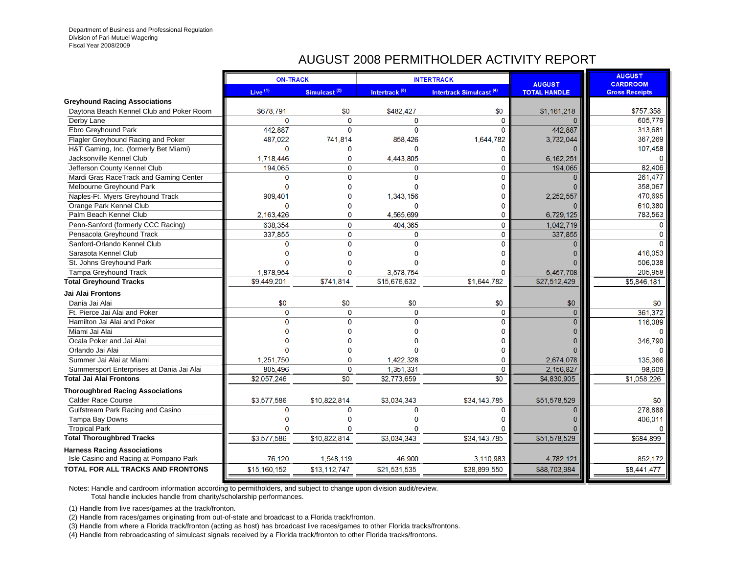# AUGUST 2008 PERMITHOLDER ACTIVITY REPORT

|                                           | <b>ON-TRACK</b> |                          |                           | <b>INTERTRACK</b>                   |                                      | <b>AUGUST</b>                            |
|-------------------------------------------|-----------------|--------------------------|---------------------------|-------------------------------------|--------------------------------------|------------------------------------------|
|                                           | Live $(1)$      | Simulcast <sup>(2)</sup> | Intertrack <sup>(3)</sup> | Intertrack Simulcast <sup>(4)</sup> | <b>AUGUST</b><br><b>TOTAL HANDLE</b> | <b>CARDROOM</b><br><b>Gross Receipts</b> |
| <b>Greyhound Racing Associations</b>      |                 |                          |                           |                                     |                                      |                                          |
| Daytona Beach Kennel Club and Poker Room  | \$678.791       | \$0                      | \$482.427                 | \$0                                 | \$1,161,218                          | \$757,358                                |
| Derby Lane                                | $\Omega$        | $\overline{0}$           | $\Omega$                  | 0                                   | n                                    | 605,779                                  |
| Ebro Greyhound Park                       | 442,887         | $\Omega$                 | $\Omega$                  | $\Omega$                            | 442.887                              | 313,681                                  |
| Flagler Greyhound Racing and Poker        | 487,022         | 741.814                  | 858.426                   | 1,644,782                           | 3,732,044                            | 367,269                                  |
| H&T Gaming, Inc. (formerly Bet Miami)     | $\mathbf{0}$    | 0                        | O                         | $\Omega$                            |                                      | 107,458                                  |
| Jacksonville Kennel Club                  | 1,718,446       | 0                        | 4,443,805                 | 0                                   | 6,162,251                            |                                          |
| Jefferson County Kennel Club              | 194.065         | $\mathbf 0$              | 0                         | $\mathbf 0$                         | 194,065                              | 82,406                                   |
| Mardi Gras RaceTrack and Gaming Center    | O               | $\Omega$                 | $\Omega$                  | 0                                   |                                      | 261.477                                  |
| Melbourne Greyhound Park                  | $\Omega$        | $\Omega$                 | $\Omega$                  | 0                                   |                                      | 358,067                                  |
| Naples-Ft. Myers Greyhound Track          | 909.401         |                          | 1.343.156                 | O                                   | 2,252,557                            | 470.695                                  |
| Orange Park Kennel Club                   | $\Omega$        | O                        | $\Omega$                  | 0                                   |                                      | 610.380                                  |
| Palm Beach Kennel Club                    | 2,163,426       | $\mathbf{0}$             | 4,565,699                 | 0                                   | 6,729,125                            | 783,563                                  |
| Penn-Sanford (formerly CCC Racing)        | 638.354         | $\Omega$                 | 404.365                   | $\mathbf 0$                         | 1.042.719                            | $\Omega$                                 |
| Pensacola Greyhound Track                 | 337,855         | $\mathbf 0$              | $\Omega$                  | $\mathbf{0}$                        | 337,855                              |                                          |
| Sanford-Orlando Kennel Club               | $\Omega$        | $\Omega$                 | $\Omega$                  | 0                                   |                                      |                                          |
| Sarasota Kennel Club                      | O               | $\Omega$                 |                           | 0                                   |                                      | 416,053                                  |
| St. Johns Greyhound Park                  | n               |                          |                           |                                     |                                      | 506.038                                  |
| Tampa Greyhound Track                     | 1,878,954       | 0                        | 3,578,754                 | O                                   | 5,457,708                            | 205,958                                  |
| <b>Total Greyhound Tracks</b>             | \$9,449,201     | \$741,814                | \$15,676,632              | \$1,644,782                         | \$27,512,429                         | \$5,846,181                              |
| Jai Alai Frontons                         |                 |                          |                           |                                     |                                      |                                          |
| Dania Jai Alai                            | \$0             | \$0                      | \$0                       | \$0                                 | \$0                                  | \$0                                      |
| Ft. Pierce Jai Alai and Poker             | $\Omega$        | $\mathbf 0$              | $\Omega$                  | $\mathbf 0$                         | $\Omega$                             | 361.372                                  |
| Hamilton Jai Alai and Poker               | $\Omega$        | $\Omega$                 | $\Omega$                  | $\Omega$                            | $\Omega$                             | 116,089                                  |
| Miami Jai Alai                            | n               |                          |                           | O                                   |                                      |                                          |
| Ocala Poker and Jai Alai                  |                 |                          |                           | O                                   |                                      | 346,790                                  |
| Orlando Jai Alai                          | O               |                          |                           | 0                                   |                                      |                                          |
| Summer Jai Alai at Miami                  | 1,251,750       | $\mathbf{0}$             | 1.422.328                 | 0                                   | 2,674,078                            | 135.366                                  |
| Summersport Enterprises at Dania Jai Alai | 805,496         | $\mathbf{0}$             | 1,351,331                 | 0                                   | 2,156,827                            | 98,609                                   |
| <b>Total Jai Alai Frontons</b>            | \$2,057,246     | \$0                      | \$2,773,659               | $\overline{30}$                     | \$4,830,905                          | \$1,058,226                              |
| <b>Thoroughbred Racing Associations</b>   |                 |                          |                           |                                     |                                      |                                          |
| <b>Calder Race Course</b>                 | \$3,577,586     | \$10,822,814             | \$3.034.343               | \$34,143,785                        | \$51,578,529                         | \$0                                      |
| Gulfstream Park Racing and Casino         | $\mathbf 0$     | 0                        | 0                         | 0                                   | $\Omega$                             | 278,888                                  |
| Tampa Bay Downs                           | O               | n                        | n                         |                                     |                                      | 406,011                                  |
| <b>Tropical Park</b>                      | $\Omega$        | n                        | n                         |                                     |                                      |                                          |
| <b>Total Thoroughbred Tracks</b>          | \$3,577,586     | \$10,822,814             | \$3,034,343               | \$34,143,785                        | \$51,578,529                         | \$684,899                                |
| <b>Harness Racing Associations</b>        |                 |                          |                           |                                     |                                      |                                          |
| Isle Casino and Racing at Pompano Park    | 76,120          | 1,548,119                | 46.900                    | 3,110,983                           | 4,782,121                            | 852.172                                  |
| <b>TOTAL FOR ALL TRACKS AND FRONTONS</b>  | \$15,160,152    | \$13,112,747             | \$21,531,535              | \$38,899,550                        | \$88,703,984                         | \$8,441,477                              |
|                                           |                 |                          |                           |                                     |                                      |                                          |

Notes: Handle and cardroom information according to permitholders, and subject to change upon division audit/review.

Total handle includes handle from charity/scholarship performances.

(1) Handle from live races/games at the track/fronton.

(2) Handle from races/games originating from out-of-state and broadcast to a Florida track/fronton.

(3) Handle from where a Florida track/fronton (acting as host) has broadcast live races/games to other Florida tracks/frontons.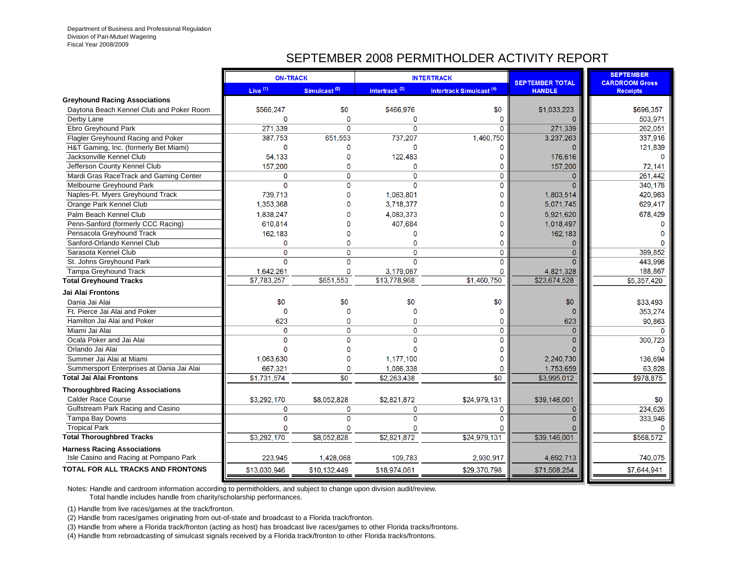## SEPTEMBER 2008 PERMITHOLDER ACTIVITY REPORT

|                                           | <b>ON-TRACK</b> |                          |                           | <b>INTERTRACK</b>                   | <b>SEPTEMBER TOTAL</b> | <b>SEPTEMBER</b><br><b>CARDROOM Gross</b> |
|-------------------------------------------|-----------------|--------------------------|---------------------------|-------------------------------------|------------------------|-------------------------------------------|
|                                           | Live $(1)$      | Simulcast <sup>(2)</sup> | Intertrack <sup>(3)</sup> | Intertrack Simulcast <sup>(4)</sup> | <b>HANDLE</b>          | <b>Receipts</b>                           |
| <b>Greyhound Racing Associations</b>      |                 |                          |                           |                                     |                        |                                           |
| Daytona Beach Kennel Club and Poker Room  | \$566,247       | \$0                      | \$466,976                 | \$0                                 | \$1,033,223            | \$696,357                                 |
| Derby Lane                                | 0               | 0                        | $\mathbf 0$               | $\mathbf{0}$                        |                        | 503,971                                   |
| Ebro Greyhound Park                       | 271,339         | $\Omega$                 | $\mathbf 0$               | 0                                   | 271,339                | 262,051                                   |
| Flagler Greyhound Racing and Poker        | 387.753         | 651.553                  | 737,207                   | 1.460.750                           | 3,237,263              | 337,916                                   |
| H&T Gaming, Inc. (formerly Bet Miami)     | $\mathbf 0$     | 0                        | $\Omega$                  | $\Omega$                            |                        | 121.839                                   |
| Jacksonville Kennel Club                  | 54.133          | 0                        | 122,483                   | 0                                   | 176,616                | $\Omega$                                  |
| Jefferson County Kennel Club              | 157,200         | 0                        | $\mathbf{0}$              | 0                                   | 157,200                | 72.141                                    |
| Mardi Gras RaceTrack and Gaming Center    | $\mathbf 0$     | $\mathbf 0$              | $\mathbf{0}$              | 0                                   | $\mathbf{0}$           | 261.442                                   |
| Melbourne Greyhound Park                  | $\mathbf 0$     | $\Omega$                 | $\Omega$                  | $\Omega$                            | $\Omega$               | 340,178                                   |
| Naples-Ft. Myers Greyhound Track          | 739,713         | 0                        | 1,063,801                 | 0                                   | 1,803,514              | 420,963                                   |
| Orange Park Kennel Club                   | 1,353,368       | Ō                        | 3.718.377                 | O                                   | 5.071.745              | 629,417                                   |
| Palm Beach Kennel Club                    | 1.838.247       | O                        | 4.083.373                 | $\Omega$                            | 5,921,620              | 678,429                                   |
| Penn-Sanford (formerly CCC Racing)        | 610.814         | n                        | 407,684                   | $\Omega$                            | 1,018,497              |                                           |
| Pensacola Greyhound Track                 | 162,183         | 0                        | $\Omega$                  | 0                                   | 162,183                |                                           |
| Sanford-Orlando Kennel Club               | $\mathbf 0$     | Ō                        | $\Omega$                  | $\Omega$                            | $\Omega$               |                                           |
| Sarasota Kennel Club                      | $\mathbf 0$     | 0                        | $\Omega$                  | $\mathbf 0$                         | $\mathbf{0}$           | 399.852                                   |
| St. Johns Greyhound Park                  | $\Omega$        | $\mathbf{0}$             | $\Omega$                  | 0                                   | $\Omega$               | 443,998                                   |
| <b>Tampa Greyhound Track</b>              | 1.642.261       | 0                        | 3.179.067                 | 0                                   | 4,821,328              | 188,867                                   |
| <b>Total Greyhound Tracks</b>             | \$7.783.257     | \$651.553                | \$13,778,968              | \$1,460,750                         | \$23,674,528           | \$5,357,420                               |
| Jai Alai Frontons                         |                 |                          |                           |                                     |                        |                                           |
| Dania Jai Alai                            | \$0             | \$0                      | \$0                       | \$0                                 | \$0                    | \$33,493                                  |
| Ft. Pierce Jai Alai and Poker             | 0               | 0                        | $\Omega$                  | O                                   |                        | 353,274                                   |
| Hamilton Jai Alai and Poker               | 623             | 0                        | $\Omega$                  | 0                                   | 623                    | 90,863                                    |
| Miami Jai Alai                            | 0               | $\Omega$                 | $\Omega$                  | 0                                   | $\Omega$               | $\Omega$                                  |
| Ocala Poker and Jai Alai                  | 0               | $\Omega$                 | $\Omega$                  | 0                                   | $\Omega$               | 300.723                                   |
| Orlando Jai Alai                          | $\Omega$        | O                        | $\Omega$                  | 0                                   |                        |                                           |
| Summer Jai Alai at Miami                  | 1.063.630       | $\overline{0}$           | 1,177,100                 | O                                   | 2.240.730              | 136.694                                   |
| Summersport Enterprises at Dania Jai Alai | 667.321         | $\overline{0}$           | 1.086.338                 | $\Omega$                            | 1,753,659              | 63.828                                    |
| <b>Total Jai Alai Frontons</b>            | \$1,731,574     | $\overline{30}$          | \$2,263,438               | \$0                                 | \$3,995,012            | \$978,875                                 |
| <b>Thoroughbred Racing Associations</b>   |                 |                          |                           |                                     |                        |                                           |
| <b>Calder Race Course</b>                 | \$3,292,170     | \$8,052,828              | \$2,821,872               | \$24,979,131                        | \$39,146,001           | \$0                                       |
| Gulfstream Park Racing and Casino         | $\mathbf 0$     | 0                        | $\mathbf{0}$              | 0                                   | $\mathbf{0}$           | 234,626                                   |
| Tampa Bay Downs                           | $\overline{0}$  | $\overline{0}$           | $\mathbf{0}$              | $\Omega$                            | $\Omega$               | 333.946                                   |
| <b>Tropical Park</b>                      | 0               | 0                        | $\Omega$                  |                                     |                        |                                           |
| <b>Total Thoroughbred Tracks</b>          | \$3,292,170     | \$8,052,828              | \$2,821,872               | \$24,979,131                        | \$39,146,001           | \$568,572                                 |
| <b>Harness Racing Associations</b>        |                 |                          |                           |                                     |                        |                                           |
| Isle Casino and Racing at Pompano Park    | 223,945         | 1,428,068                | 109,783                   | 2,930,917                           | 4,692,713              | 740,075                                   |
| TOTAL FOR ALL TRACKS AND FRONTONS         | \$13,030,946    | \$10,132,449             | \$18,974,061              | \$29,370,798                        | \$71,508,254           | \$7,644,941                               |
|                                           |                 |                          |                           |                                     |                        |                                           |

Notes: Handle and cardroom information according to permitholders, and subject to change upon division audit/review.

Total handle includes handle from charity/scholarship performances.

(1) Handle from live races/games at the track/fronton.

(2) Handle from races/games originating from out-of-state and broadcast to a Florida track/fronton.

(3) Handle from where a Florida track/fronton (acting as host) has broadcast live races/games to other Florida tracks/frontons.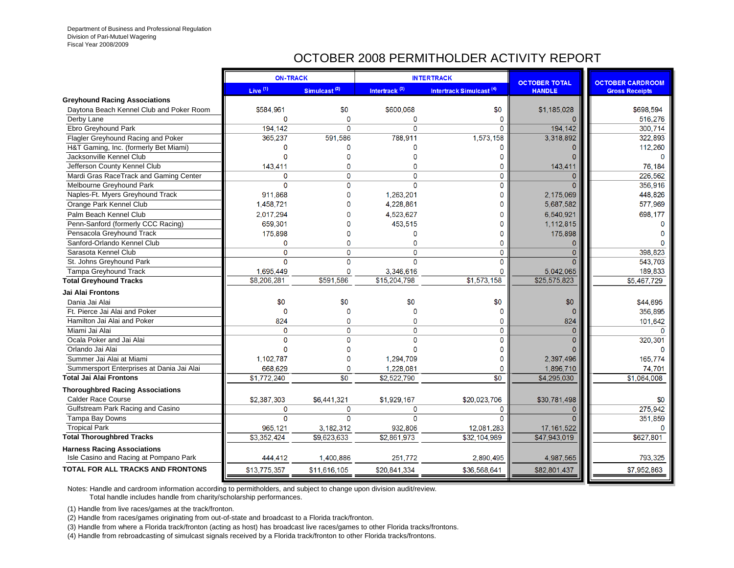# OCTOBER 2008 PERMITHOLDER ACTIVITY REPORT

|                                                                              | <b>ON-TRACK</b> |                          |                           | <b>INTERTRACK</b>                   | <b>OCTOBER TOTAL</b> | <b>OCTOBER CARDROOM</b> |
|------------------------------------------------------------------------------|-----------------|--------------------------|---------------------------|-------------------------------------|----------------------|-------------------------|
|                                                                              | Live $(1)$      | Simulcast <sup>(2)</sup> | Intertrack <sup>(3)</sup> | Intertrack Simulcast <sup>(4)</sup> | <b>HANDLE</b>        | <b>Gross Receipts</b>   |
| <b>Greyhound Racing Associations</b>                                         |                 |                          |                           |                                     |                      |                         |
| Daytona Beach Kennel Club and Poker Room                                     | \$584,961       | \$0                      | \$600,068                 | \$0                                 | \$1,185,028          | \$698,594               |
| Derby Lane                                                                   | 0               | 0                        | $\mathbf 0$               | O                                   |                      | 516,276                 |
| Ebro Greyhound Park                                                          | 194,142         | 0                        | $\Omega$                  | $\Omega$                            | 194,142              | 300.714                 |
| Flagler Greyhound Racing and Poker                                           | 365,237         | 591,586                  | 788,911                   | 1,573,158                           | 3,318,892            | 322,893                 |
| H&T Gaming, Inc. (formerly Bet Miami)                                        | 0               | 0                        | $\Omega$                  | $\Omega$                            | $\Omega$             | 112,260                 |
| Jacksonville Kennel Club                                                     | $\Omega$        | 0                        | $\Omega$                  | $\Omega$                            | ∩                    | $\Omega$                |
| Jefferson County Kennel Club                                                 | 143,411         | 0                        | $\Omega$                  | $\Omega$                            | 143,411              | 76,184                  |
| Mardi Gras RaceTrack and Gaming Center                                       | $\Omega$        | 0                        | $\Omega$                  | $\Omega$                            | $\Omega$             | 226.562                 |
| Melbourne Greyhound Park                                                     | $\Omega$        | $\Omega$                 | $\Omega$                  | $\Omega$                            | $\Omega$             | 356.916                 |
| Naples-Ft. Myers Greyhound Track                                             | 911.868         | 0                        | 1.263.201                 | 0                                   | 2.175.069            | 448.826                 |
| Orange Park Kennel Club                                                      | 1,458,721       | Ō                        | 4,228,861                 | $\Omega$                            | 5,687,582            | 577,969                 |
| Palm Beach Kennel Club                                                       | 2.017.294       | U                        | 4,523,627                 | $\Omega$                            | 6.540.921            | 698,177                 |
| Penn-Sanford (formerly CCC Racing)                                           | 659.301         | O                        | 453,515                   | $\Omega$                            | 1,112,815            |                         |
| Pensacola Greyhound Track                                                    | 175,898         | O                        | 0                         | 0                                   | 175,898              |                         |
| Sanford-Orlando Kennel Club                                                  | 0               | 0                        | $\mathbf{0}$              | $\Omega$                            | $\Omega$             |                         |
| Sarasota Kennel Club                                                         | 0               | $\Omega$                 | $\Omega$                  | 0                                   | $\mathbf{0}$         | 398,823                 |
| St. Johns Greyhound Park                                                     | $\Omega$        | 0                        | $\Omega$                  | 0                                   | $\Omega$             | 543,703                 |
| <b>Tampa Greyhound Track</b>                                                 | 1,695,449       | 0                        | 3,346,616                 | 0                                   | 5,042,065            | 189,833                 |
| <b>Total Greyhound Tracks</b>                                                | \$8,206,281     | \$591.586                | \$15,204,798              | \$1,573,158                         | \$25,575,823         | \$5,467,729             |
| Jai Alai Frontons                                                            |                 |                          |                           |                                     |                      |                         |
| Dania Jai Alai                                                               | \$0             | \$0                      | \$0                       | \$0                                 | \$0                  | \$44,695                |
| Ft. Pierce Jai Alai and Poker                                                | 0               | 0                        | $\Omega$                  | O                                   | $\Omega$             | 356,895                 |
| Hamilton Jai Alai and Poker                                                  | 824             | 0                        | $\Omega$                  | $\mathbf{0}$                        | 824                  | 101.642                 |
| Miami Jai Alai                                                               | 0               | 0                        | $\Omega$                  | 0                                   | $\Omega$             | $\Omega$                |
| Ocala Poker and Jai Alai                                                     | $\Omega$        | 0                        | $\Omega$                  | $\Omega$                            | $\Omega$             | 320,301                 |
| Orlando Jai Alai                                                             | $\Omega$        | 0                        | $\Omega$                  | 0                                   |                      |                         |
| Summer Jai Alai at Miami                                                     | 1,102,787       | 0                        | 1,294,709                 | $\Omega$                            | 2,397,496            | 165,774                 |
| Summersport Enterprises at Dania Jai Alai                                    | 668,629         | 0                        | 1,228,081                 | 0                                   | 1,896,710            | 74,701                  |
| <b>Total Jai Alai Frontons</b>                                               | \$1,772,240     | $\overline{30}$          | \$2,522,790               | $\overline{30}$                     | \$4,295,030          | \$1.064.008             |
| <b>Thoroughbred Racing Associations</b>                                      |                 |                          |                           |                                     |                      |                         |
| <b>Calder Race Course</b>                                                    | \$2,387,303     | \$6,441,321              | \$1,929,167               | \$20,023,706                        | \$30,781,498         | \$0                     |
| Gulfstream Park Racing and Casino                                            | $\mathbf{0}$    | 0                        | $\mathbf{0}$              | $\Omega$                            | $\Omega$             | 275,942                 |
| Tampa Bay Downs                                                              | $\Omega$        | 0                        | $\Omega$                  | $\Omega$                            | $\Omega$             | 351,859                 |
| <b>Tropical Park</b>                                                         | 965,121         | 3.182.312                | 932,806                   | 12,081,283                          | 17, 161, 522         |                         |
| <b>Total Thoroughbred Tracks</b>                                             | \$3,352,424     | \$9.623,633              | \$2.861,973               | \$32,104,989                        | \$47,943,019         | \$627,801               |
| <b>Harness Racing Associations</b><br>Isle Casino and Racing at Pompano Park | 444,412         | 1,400,886                | 251,772                   | 2,890,495                           | 4,987,565            | 793,325                 |
| <b>TOTAL FOR ALL TRACKS AND FRONTONS</b>                                     | \$13,775,357    | \$11,616,105             | \$20,841,334              | \$36,568,641                        | \$82,801,437         | \$7,952,863             |
|                                                                              |                 |                          |                           |                                     |                      |                         |

Notes: Handle and cardroom information according to permitholders, and subject to change upon division audit/review.

Total handle includes handle from charity/scholarship performances.

(1) Handle from live races/games at the track/fronton.

(2) Handle from races/games originating from out-of-state and broadcast to a Florida track/fronton.

(3) Handle from where a Florida track/fronton (acting as host) has broadcast live races/games to other Florida tracks/frontons.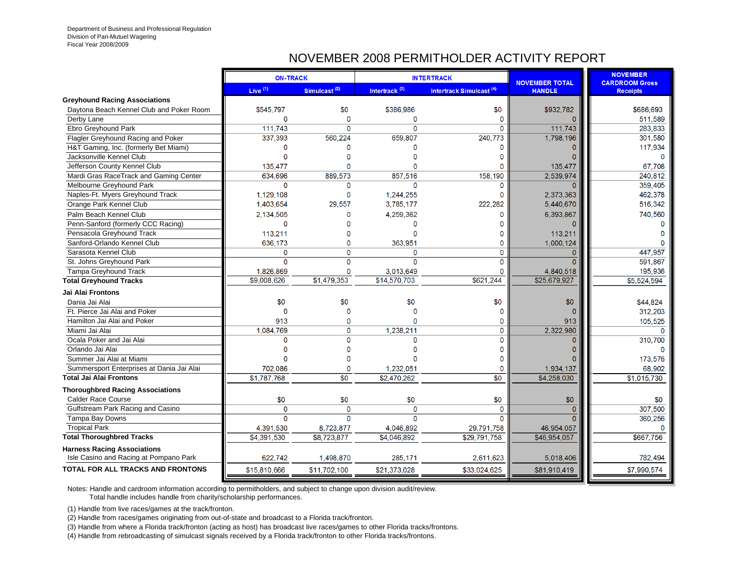# NOVEMBER 2008 PERMITHOLDER ACTIVITY REPORT

|                                                                              | <b>ON-TRACK</b> |                          |                           | <b>INTERTRACK</b>                   | <b>NOVEMBER TOTAL</b> | <b>NOVEMBER</b><br><b>CARDROOM Gross</b> |
|------------------------------------------------------------------------------|-----------------|--------------------------|---------------------------|-------------------------------------|-----------------------|------------------------------------------|
|                                                                              | Live $(1)$      | Simulcast <sup>(2)</sup> | Intertrack <sup>(3)</sup> | Intertrack Simulcast <sup>(4)</sup> | <b>HANDLE</b>         | <b>Receipts</b>                          |
| <b>Greyhound Racing Associations</b>                                         |                 |                          |                           |                                     |                       |                                          |
| Daytona Beach Kennel Club and Poker Room                                     | \$545,797       | \$0                      | \$386,986                 | \$0                                 | \$932,782             | \$686,693                                |
| Derby Lane                                                                   | 0               | 0                        | $\mathbf 0$               | $\Omega$                            |                       | 511,589                                  |
| Ebro Greyhound Park                                                          | 111,743         | 0                        | $\Omega$                  | $\Omega$                            | 111,743               | 283,833                                  |
| Flagler Greyhound Racing and Poker                                           | 337,393         | 560,224                  | 659,807                   | 240,773                             | 1,798,196             | 301.580                                  |
| H&T Gaming, Inc. (formerly Bet Miami)                                        | 0               | n                        | $\Omega$                  | $\Omega$                            |                       | 117.934                                  |
| Jacksonville Kennel Club                                                     | $\Omega$        | O                        | O                         | n                                   |                       | $\Omega$                                 |
| Jefferson County Kennel Club                                                 | 135,477         | 0                        | $\Omega$                  | O                                   | 135,477               | 67,708                                   |
| Mardi Gras RaceTrack and Gaming Center                                       | 634,696         | 889,573                  | 857,516                   | 158,190                             | 2,539,974             | 240,812                                  |
| Melbourne Greyhound Park                                                     | 0               | 0                        | $\Omega$                  | n                                   | $\Omega$              | 359,405                                  |
| Naples-Ft. Myers Greyhound Track                                             | 1,129,108       | 0                        | 1,244,255                 | 0                                   | 2,373,363             | 462,378                                  |
| Orange Park Kennel Club                                                      | 1.403.654       | 29.557                   | 3.785.177                 | 222.282                             | 5.440.670             | 516,342                                  |
| Palm Beach Kennel Club                                                       | 2.134.505       | U                        | 4.259.362                 | U                                   | 6,393,867             | 740.560                                  |
| Penn-Sanford (formerly CCC Racing)                                           | $\Omega$        | n                        | $\Omega$                  | n                                   |                       |                                          |
| Pensacola Greyhound Track                                                    | 113,211         | O                        | $\Omega$                  | O                                   | 113.211               |                                          |
| Sanford-Orlando Kennel Club                                                  | 636,173         | $\Omega$                 | 363,951                   | $\Omega$                            | 1,000,124             |                                          |
| Sarasota Kennel Club                                                         | 0               | 0                        | $\mathbf 0$               | $\mathbf 0$                         | $\Omega$              | 447,957                                  |
| St. Johns Greyhound Park                                                     | $\Omega$        | $\overline{0}$           | $\Omega$                  | $\Omega$                            | $\Omega$              | 591,867                                  |
| <b>Tampa Greyhound Track</b>                                                 | 1,826,869       | 0                        | 3,013,649                 | $\Omega$                            | 4,840,518             | 195,936                                  |
| <b>Total Greyhound Tracks</b>                                                | \$9,008,626     | \$1,479,353              | \$14,570,703              | \$621,244                           | \$25,679,927          | \$5,524,594                              |
| Jai Alai Frontons                                                            |                 |                          |                           |                                     |                       |                                          |
| Dania Jai Alai                                                               | \$0             | \$0                      | \$0                       | \$0                                 | \$0                   | \$44,824                                 |
| Ft. Pierce Jai Alai and Poker                                                | $\Omega$        | 0                        | 0                         | O                                   |                       | 312,203                                  |
| Hamilton Jai Alai and Poker                                                  | 913             | 0                        | $\Omega$                  | 0                                   | 913                   | 105,525                                  |
| Miami Jai Alai                                                               | 1.084.769       | 0                        | 1.238.211                 | 0                                   | 2,322,980             | $\Omega$                                 |
| Ocala Poker and Jai Alai                                                     | $\Omega$        | 0                        | 0                         | 0                                   | $\Omega$              | 310,700                                  |
| Orlando Jai Alai                                                             | $\Omega$        | n                        | $\Omega$                  | $\Omega$                            |                       |                                          |
| Summer Jai Alai at Miami                                                     | n               | n                        | n                         | $\Omega$                            |                       | 173.576                                  |
| Summersport Enterprises at Dania Jai Alai                                    | 702,086         | 0                        | 1,232,051                 | $\Omega$                            | 1,934,137             | 68.902                                   |
| <b>Total Jai Alai Frontons</b>                                               | \$1,787,768     | \$0                      | \$2,470.262               | $\overline{30}$                     | \$4,258,030           | \$1,015,730                              |
| <b>Thoroughbred Racing Associations</b>                                      |                 |                          |                           |                                     |                       |                                          |
| <b>Calder Race Course</b>                                                    | \$0             | \$0                      | \$0                       | \$0                                 | \$0                   | \$0                                      |
| Gulfstream Park Racing and Casino                                            | $\mathbf{0}$    | 0                        | $\Omega$                  | $\Omega$                            | $\Omega$              | 307,500                                  |
| Tampa Bay Downs                                                              | $\Omega$        | 0                        | $\Omega$                  | $\Omega$                            | $\Omega$              | 360,256                                  |
| <b>Tropical Park</b>                                                         | 4,391,530       | 8,723,877                | 4,046,892                 | 29,791,758                          | 46,954,057            |                                          |
| <b>Total Thoroughbred Tracks</b>                                             | \$4,391,530     | \$8,723,877              | \$4,046,892               | \$29.791.758                        | \$46,954,057          | \$667,756                                |
| <b>Harness Racing Associations</b><br>Isle Casino and Racing at Pompano Park | 622,742         | 1,498,870                | 285,171                   | 2,611,623                           | 5,018,406             | 782,494                                  |
| <b>TOTAL FOR ALL TRACKS AND FRONTONS</b>                                     | \$15,810,666    | \$11,702,100             | \$21,373,028              | \$33,024,625                        | \$81,910,419          | \$7,990,574                              |
|                                                                              |                 |                          |                           |                                     |                       |                                          |

Notes: Handle and cardroom information according to permitholders, and subject to change upon division audit/review.

Total handle includes handle from charity/scholarship performances.

(1) Handle from live races/games at the track/fronton.

(2) Handle from races/games originating from out-of-state and broadcast to a Florida track/fronton.

(3) Handle from where a Florida track/fronton (acting as host) has broadcast live races/games to other Florida tracks/frontons.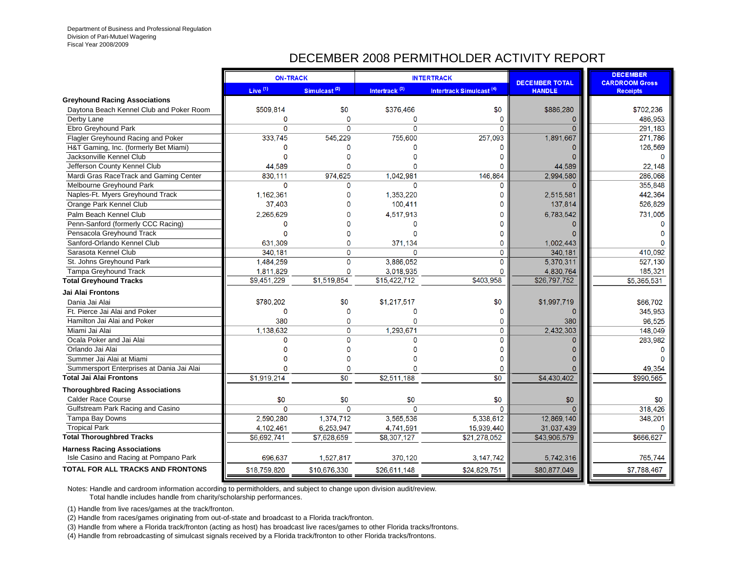# DECEMBER 2008 PERMITHOLDER ACTIVITY REPORT

|                                           | <b>ON-TRACK</b> |                          |                           | <b>INTERTRACK</b>                   | <b>DECEMBER TOTAL</b> | <b>DECEMBER</b><br><b>CARDROOM Gross</b> |
|-------------------------------------------|-----------------|--------------------------|---------------------------|-------------------------------------|-----------------------|------------------------------------------|
|                                           | Live $(1)$      | Simulcast <sup>(2)</sup> | Intertrack <sup>(3)</sup> | Intertrack Simulcast <sup>(4)</sup> | <b>HANDLE</b>         | <b>Receipts</b>                          |
| <b>Greyhound Racing Associations</b>      |                 |                          |                           |                                     |                       |                                          |
| Daytona Beach Kennel Club and Poker Room  | \$509,814       | \$0                      | \$376,466                 | \$0                                 | \$886,280             | \$702,236                                |
| Derby Lane                                | 0               | $\mathbf{0}$             | $\mathbf 0$               | $\Omega$                            | $\Omega$              | 486,953                                  |
| Ebro Greyhound Park                       | $\Omega$        | $\Omega$                 | $\Omega$                  | $\Omega$                            | $\Omega$              | 291.183                                  |
| Flagler Greyhound Racing and Poker        | 333,745         | 545,229                  | 755,600                   | 257,093                             | 1,891,667             | 271.786                                  |
| H&T Gaming, Inc. (formerly Bet Miami)     | 0               | $\Omega$                 | O                         | $\Omega$                            | $\Omega$              | 126,569                                  |
| Jacksonville Kennel Club                  | Ő               | $\Omega$                 | C                         | $\Omega$                            |                       | $\Omega$                                 |
| Jefferson County Kennel Club              | 44,589          | $\Omega$                 | $\Omega$                  |                                     | 44,589                | 22,148                                   |
| Mardi Gras RaceTrack and Gaming Center    | 830,111         | 974.625                  | 1,042,981                 | 146,864                             | 2,994,580             | 286.068                                  |
| Melbourne Greyhound Park                  | $\Omega$        | $\Omega$                 | $\Omega$                  | $\Omega$                            | $\sqrt{ }$            | 355,848                                  |
| Naples-Ft. Myers Greyhound Track          | 1,162,361       | 0                        | 1.353.220                 | $\Omega$                            | 2,515,581             | 442,364                                  |
| Orange Park Kennel Club                   | 37,403          | $\Omega$                 | 100,411                   | $\Omega$                            | 137,814               | 526,829                                  |
| Palm Beach Kennel Club                    | 2.265.629       | $\Omega$                 | 4,517,913                 | $\Omega$                            | 6,783,542             | 731,005                                  |
| Penn-Sanford (formerly CCC Racing)        | 0               | $\Omega$                 | $\Omega$                  | $\Omega$                            |                       |                                          |
| Pensacola Greyhound Track                 | 0               | 0                        | $\Omega$                  | O                                   |                       |                                          |
| Sanford-Orlando Kennel Club               | 631,309         | $\Omega$                 | 371,134                   | $\Omega$                            | 1,002,443             |                                          |
| Sarasota Kennel Club                      | 340,181         | $\Omega$                 | $\Omega$                  | $\mathbf{0}$                        | 340,181               | 410,092                                  |
| St. Johns Greyhound Park                  | 1,484,259       | 0                        | 3,886,052                 | $\mathbf{0}$                        | 5,370,311             | 527,130                                  |
| <b>Tampa Greyhound Track</b>              | 1,811,829       | $\mathbf 0$              | 3,018,935                 | 0                                   | 4,830,764             | 185,321                                  |
| <b>Total Greyhound Tracks</b>             | \$9,451,229     | \$1,519,854              | \$15,422,712              | \$403,958                           | \$26,797,752          | \$5,365,531                              |
| <b>Jai Alai Frontons</b>                  |                 |                          |                           |                                     |                       |                                          |
| Dania Jai Alai                            | \$780,202       | \$0                      | \$1,217,517               | \$0                                 | \$1,997,719           | \$66,702                                 |
| Ft. Pierce Jai Alai and Poker             | 0               | 0                        | $\Omega$                  | $\Omega$                            | $\Omega$              | 345,953                                  |
| Hamilton Jai Alai and Poker               | 380             | $\mathbf{0}$             | $\Omega$                  | $\Omega$                            | 380                   | 96,525                                   |
| Miami Jai Alai                            | 1.138,632       | 0                        | 1.293,671                 | $\Omega$                            | 2,432,303             | 148,049                                  |
| Ocala Poker and Jai Alai                  | O               | 0                        | $\Omega$                  | $\Omega$                            | $\Omega$              | 283.982                                  |
| Orlando Jai Alai                          |                 | $\Omega$                 |                           | O                                   |                       |                                          |
| Summer Jai Alai at Miami                  | n               | $\Omega$                 | n                         | $\Omega$                            |                       |                                          |
| Summersport Enterprises at Dania Jai Alai | n               | $\mathbf 0$              | n                         | $\Omega$                            |                       | 49,354                                   |
| <b>Total Jai Alai Frontons</b>            | \$1,919,214     | $\overline{30}$          | \$2,511,188               | $\overline{50}$                     | \$4,430,402           | \$990,565                                |
| <b>Thoroughbred Racing Associations</b>   |                 |                          |                           |                                     |                       |                                          |
| <b>Calder Race Course</b>                 | \$0             | \$0                      | \$0                       | \$0                                 | \$0                   | \$0                                      |
| Gulfstream Park Racing and Casino         | $\Omega$        | $\Omega$                 | $\Omega$                  | $\Omega$                            | $\Omega$              | 318,426                                  |
| Tampa Bay Downs                           | 2,590,280       | 1,374,712                | 3,565,536                 | 5,338,612                           | 12,869,140            | 348,201                                  |
| <b>Tropical Park</b>                      | 4,102,461       | 6,253,947                | 4,741,591                 | 15,939,440                          | 31,037,439            |                                          |
| <b>Total Thoroughbred Tracks</b>          | \$6,692,741     | \$7,628,659              | \$8,307,127               | \$21,278,052                        | \$43,906,579          | \$666,627                                |
| <b>Harness Racing Associations</b>        |                 |                          |                           |                                     |                       |                                          |
| Isle Casino and Racing at Pompano Park    | 696,637         | 1,527,817                | 370,120                   | 3, 147, 742                         | 5,742,316             | 765,744                                  |
| TOTAL FOR ALL TRACKS AND FRONTONS         | \$18,759,820    | \$10,676,330             | \$26,611,148              | \$24,829,751                        | \$80,877,049          | \$7,788,467                              |

Notes: Handle and cardroom information according to permitholders, and subject to change upon division audit/review.

Total handle includes handle from charity/scholarship performances.

(1) Handle from live races/games at the track/fronton.

(2) Handle from races/games originating from out-of-state and broadcast to a Florida track/fronton.

(3) Handle from where a Florida track/fronton (acting as host) has broadcast live races/games to other Florida tracks/frontons.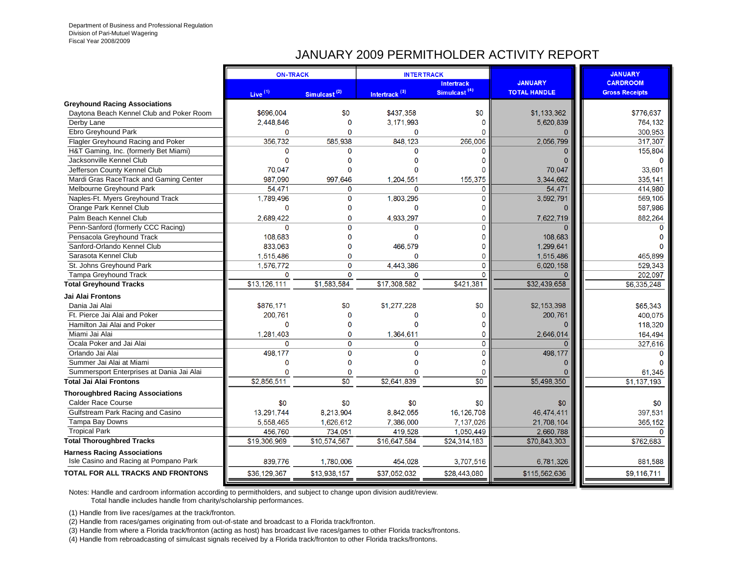## JANUARY 2009 PERMITHOLDER ACTIVITY REPORT

|                                           | <b>ON-TRACK</b> |                          | <b>INTERTRACK</b>         |                          |                     | <b>JANUARY</b>        |
|-------------------------------------------|-----------------|--------------------------|---------------------------|--------------------------|---------------------|-----------------------|
|                                           |                 |                          |                           | <b>Intertrack</b>        | <b>JANUARY</b>      | <b>CARDROOM</b>       |
|                                           | Live $(1)$      | Simulcast <sup>(2)</sup> | Intertrack <sup>(3)</sup> | Simulcast <sup>(4)</sup> | <b>TOTAL HANDLE</b> | <b>Gross Receipts</b> |
| <b>Greyhound Racing Associations</b>      |                 |                          |                           |                          |                     |                       |
| Daytona Beach Kennel Club and Poker Room  | \$696,004       | \$0                      | \$437.358                 | \$0                      | \$1,133,362         | \$776,637             |
| Derby Lane                                | 2,448,846       | $\mathbf{0}$             | 3,171,993                 | $\Omega$                 | 5,620,839           | 764,132               |
| Ebro Greyhound Park                       | $\mathbf 0$     | $\Omega$                 | $\Omega$                  | $\Omega$                 | $\Omega$            | 300,953               |
| Flagler Greyhound Racing and Poker        | 356.732         | 585.938                  | 848,123                   | 266.006                  | 2.056.799           | 317,307               |
| H&T Gaming, Inc. (formerly Bet Miami)     | $\Omega$        | $\mathbf{0}$             | $\Omega$                  | n                        | $\Omega$            | 155,804               |
| Jacksonville Kennel Club                  | $\mathbf{0}$    | $\mathbf 0$              | 0                         | 0                        | 0                   | $\Omega$              |
| Jefferson County Kennel Club              | 70.047          | $\mathbf{0}$             | $\Omega$                  | $\Omega$                 | 70.047              | 33,601                |
| Mardi Gras RaceTrack and Gaming Center    | 987.090         | 997.646                  | 1.204.551                 | 155.375                  | 3,344,662           | 335,141               |
| Melbourne Greyhound Park                  | 54.471          | $\mathbf{0}$             | $\Omega$                  | $\mathbf{0}$             | 54,471              | 414,980               |
| Naples-Ft. Myers Greyhound Track          | 1,789,496       | $\mathbf 0$              | 1,803,295                 | $\mathbf{0}$             | 3,592,791           | 569.105               |
| Orange Park Kennel Club                   | $\Omega$        | $\mathbf 0$              | 0                         | $\Omega$                 | $\Omega$            | 587,986               |
| Palm Beach Kennel Club                    | 2,689,422       | $\mathbf{0}$             | 4,933,297                 | $\mathbf{0}$             | 7,622,719           | 882,264               |
| Penn-Sanford (formerly CCC Racing)        | $\Omega$        | $\mathbf{0}$             | $\mathbf{0}$              | $\mathbf{0}$             | $\Omega$            | n                     |
| Pensacola Greyhound Track                 | 108.683         | $\Omega$                 | $\mathbf{0}$              | $\Omega$                 | 108,683             |                       |
| Sanford-Orlando Kennel Club               | 833.063         | $\Omega$                 | 466,579                   | $\Omega$                 | 1,299,641           |                       |
| Sarasota Kennel Club                      | 1,515,486       | $\mathbf{0}$             | $\Omega$                  | $\mathbf{0}$             | 1,515,486           | 465,899               |
| St. Johns Greyhound Park                  | 1,576,772       | $\mathbf 0$              | 4,443,386                 | $\mathbf 0$              | 6,020,158           | 529,343               |
| Tampa Greyhound Track                     | $\mathbf 0$     | $\mathbf 0$              | $\mathbf 0$               | $\Omega$                 | $\Omega$            | 202.097               |
| <b>Total Greyhound Tracks</b>             | \$13,126,111    | \$1,583,584              | \$17,308,582              | \$421.381                | \$32,439,658        | \$6,335,248           |
| Jai Alai Frontons                         |                 |                          |                           |                          |                     |                       |
| Dania Jai Alai                            | \$876,171       | \$0                      | \$1,277,228               | \$0                      | \$2.153.398         | \$65,343              |
| Ft. Pierce Jai Alai and Poker             | 200,761         | $\mathbf 0$              | $\Omega$                  | O                        | 200,761             | 400.075               |
| Hamilton Jai Alai and Poker               | $\mathbf{0}$    | $\Omega$                 | $\Omega$                  | $\Omega$                 |                     | 118,320               |
| Miami Jai Alai                            | 1,281,403       | $\mathbf{0}$             | 1,364,611                 | $\mathbf 0$              | 2.646.014           | 164,494               |
| Ocala Poker and Jai Alai                  | $\mathbf{0}$    | $\mathbf{0}$             | $\mathbf{0}$              | $\mathbf{0}$             | $\Omega$            | 327,616               |
| Orlando Jai Alai                          | 498,177         | $\mathbf 0$              | $\mathbf{0}$              | $\mathbf 0$              | 498,177             | n                     |
| Summer Jai Alai at Miami                  | 0               | $\mathbf 0$              | $\Omega$                  | $\Omega$                 | $\Omega$            |                       |
| Summersport Enterprises at Dania Jai Alai | $\Omega$        | $\Omega$                 | $\Omega$                  | $\Omega$                 | n                   | 61,345                |
| <b>Total Jai Alai Frontons</b>            | \$2,856,511     | $\overline{30}$          | \$2,641,839               | $\overline{30}$          | \$5,498,350         | \$1,137,193           |
| <b>Thoroughbred Racing Associations</b>   |                 |                          |                           |                          |                     |                       |
| <b>Calder Race Course</b>                 | \$0             | \$0                      | \$0                       | \$0                      | \$0                 | \$0                   |
| Gulfstream Park Racing and Casino         | 13,291,744      | 8,213,904                | 8,842,055                 | 16,126,708               | 46,474,411          | 397,531               |
| Tampa Bay Downs                           | 5,558,465       | 1,626,612                | 7,386,000                 | 7,137,026                | 21,708,104          | 365,152               |
| <b>Tropical Park</b>                      | 456.760         | 734.051                  | 419,528                   | 1,050,449                | 2,660,788           | n                     |
| <b>Total Thoroughbred Tracks</b>          | \$19,306,969    | \$10,574,567             | \$16,647,584              | \$24,314,183             | \$70,843,303        | \$762,683             |
| <b>Harness Racing Associations</b>        |                 |                          |                           |                          |                     |                       |
| Isle Casino and Racing at Pompano Park    | 839,776         | 1,780,006                | 454,028                   | 3,707,516                | 6,781,326           | 881.588               |
| <b>TOTAL FOR ALL TRACKS AND FRONTONS</b>  | \$36,129,367    | \$13,938,157             | \$37,052,032              | \$28,443,080             | \$115,562,636       | \$9,116,711           |
|                                           |                 |                          |                           |                          |                     |                       |

Notes: Handle and cardroom information according to permitholders, and subject to change upon division audit/review.

Total handle includes handle from charity/scholarship performances.

(1) Handle from live races/games at the track/fronton.

(2) Handle from races/games originating from out-of-state and broadcast to a Florida track/fronton.

(3) Handle from where a Florida track/fronton (acting as host) has broadcast live races/games to other Florida tracks/frontons.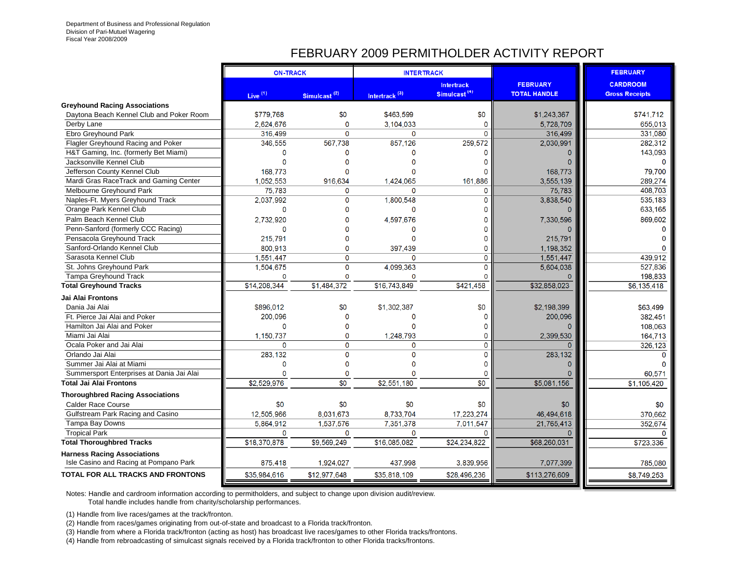## FEBRUARY 2009 PERMITHOLDER ACTIVITY REPORT

|                                                                              | <b>ON-TRACK</b>     |                          |                           | <b>INTERTRACK</b>                             |                                        | <b>FEBRUARY</b>                          |
|------------------------------------------------------------------------------|---------------------|--------------------------|---------------------------|-----------------------------------------------|----------------------------------------|------------------------------------------|
|                                                                              | Live <sup>(1)</sup> | Simulcast <sup>(2)</sup> | Intertrack <sup>(3)</sup> | <b>Intertrack</b><br>Simulcast <sup>(4)</sup> | <b>FEBRUARY</b><br><b>TOTAL HANDLE</b> | <b>CARDROOM</b><br><b>Gross Receipts</b> |
| <b>Greyhound Racing Associations</b>                                         |                     |                          |                           |                                               |                                        |                                          |
| Daytona Beach Kennel Club and Poker Room                                     | \$779,768           | \$0                      | \$463.599                 | \$0                                           | \$1,243,367                            | \$741.712                                |
| Derby Lane                                                                   | 2,624,676           | $\Omega$                 | 3,104,033                 | $\Omega$                                      | 5,728,709                              | 655,013                                  |
| Ebro Greyhound Park                                                          | 316,499             | $\Omega$                 | 0                         | $\Omega$                                      | 316,499                                | 331,080                                  |
| Flagler Greyhound Racing and Poker                                           | 346,555             | 567,738                  | 857,126                   | 259,572                                       | 2,030,991                              | 282,312                                  |
| H&T Gaming, Inc. (formerly Bet Miami)                                        | ∩                   |                          | n                         | n                                             |                                        | 143,093                                  |
| Jacksonville Kennel Club                                                     | $\Omega$            |                          |                           | n                                             |                                        | $\Omega$                                 |
| Jefferson County Kennel Club                                                 | 168,773             |                          |                           |                                               | 168,773                                | 79,700                                   |
| Mardi Gras RaceTrack and Gaming Center                                       | 1,052,553           | 916.634                  | 1,424,065                 | 161.886                                       | 3,555,139                              | 289,274                                  |
| Melbourne Greyhound Park                                                     | 75.783              | $\Omega$                 | 0                         | $\Omega$                                      | 75.783                                 | 408.703                                  |
| Naples-Ft. Myers Greyhound Track                                             | 2.037.992           | $\Omega$                 | 1.800.548                 | $\Omega$                                      | 3.838.540                              | 535.183                                  |
| Orange Park Kennel Club                                                      | $\mathbf 0$         |                          | 0                         | O                                             |                                        | 633,165                                  |
| Palm Beach Kennel Club                                                       | 2,732,920           |                          | 4,597,676                 | 0                                             | 7,330,596                              | 869,602                                  |
| Penn-Sanford (formerly CCC Racing)                                           | $\Omega$            |                          | O                         | O                                             |                                        |                                          |
| Pensacola Greyhound Track                                                    | 215,791             |                          | 0                         | $\mathbf 0$                                   | 215,791                                |                                          |
| Sanford-Orlando Kennel Club                                                  | 800.913             | $\Omega$                 | 397.439                   | $\Omega$                                      | 1,198,352                              |                                          |
| Sarasota Kennel Club                                                         | 1,551,447           | $\mathbf 0$              | 0                         | $\mathbf 0$                                   | 1,551,447                              | 439,912                                  |
| St. Johns Greyhound Park                                                     | 1,504,675           | $\mathbf{O}$             | 4,099,363                 | $\mathbf{O}$                                  | 5,604,038                              | 527,836                                  |
| Tampa Greyhound Track                                                        | $\Omega$            | $\Omega$                 | O                         | O                                             |                                        | 198,833                                  |
| <b>Total Greyhound Tracks</b>                                                | \$14,208,344        | \$1,484,372              | \$16,743,849              | \$421,458                                     | \$32,858,023                           | \$6,135,418                              |
| Jai Alai Frontons                                                            |                     |                          |                           |                                               |                                        |                                          |
| Dania Jai Alai                                                               | \$896,012           | \$0                      | \$1,302,387               | \$0                                           | \$2.198.399                            | \$63.499                                 |
| Ft. Pierce Jai Alai and Poker                                                | 200,096             |                          | $\mathbf{0}$              | $\Omega$                                      | 200,096                                | 382,451                                  |
| Hamilton Jai Alai and Poker                                                  | $\Omega$            |                          | n                         | 0                                             |                                        | 108,063                                  |
| Miami Jai Alai                                                               | 1,150,737           | $\Omega$                 | 1.248.793                 | $\Omega$                                      | 2.399.530                              | 164,713                                  |
| Ocala Poker and Jai Alai                                                     | $\Omega$            | $\overline{0}$           | 0                         | 0                                             | n                                      | 326,123                                  |
| Orlando Jai Alai                                                             | 283,132             | $\Omega$                 | 0                         | $\mathbf 0$                                   | 283,132                                | $\Omega$                                 |
| Summer Jai Alai at Miami                                                     | $\Omega$            | $\Omega$                 | O                         | $\Omega$                                      |                                        |                                          |
| Summersport Enterprises at Dania Jai Alai                                    | $\Omega$            | $\mathbf{0}$             | O                         | $\mathbf 0$                                   | n                                      | 60,571                                   |
| <b>Total Jai Alai Frontons</b>                                               | \$2,529,976         | $\overline{30}$          | \$2,551,180               | \$0                                           | \$5,081,156                            | \$1,105,420                              |
| <b>Thoroughbred Racing Associations</b>                                      |                     |                          |                           |                                               |                                        |                                          |
| <b>Calder Race Course</b>                                                    | \$0                 | \$0                      | \$0                       | \$0                                           | \$0                                    | \$0                                      |
| Gulfstream Park Racing and Casino                                            | 12,505,966          | 8,031,673                | 8,733,704                 | 17,223,274                                    | 46,494,618                             | 370,662                                  |
| Tampa Bay Downs                                                              | 5,864,912           | 1,537,576                | 7,351,378                 | 7,011,547                                     | 21,765,413                             | 352,674                                  |
| <b>Tropical Park</b>                                                         | $\mathbf 0$         | 0                        | 0                         | n                                             | 0                                      | n                                        |
| <b>Total Thoroughbred Tracks</b>                                             | \$18,370,878        | \$9,569,249              | \$16,085,082              | \$24,234,822                                  | \$68,260,031                           | \$723,336                                |
| <b>Harness Racing Associations</b><br>Isle Casino and Racing at Pompano Park | 875,418             | 1,924,027                | 437,998                   | 3,839,956                                     | 7,077,399                              | 785.080                                  |
| <b>TOTAL FOR ALL TRACKS AND FRONTONS</b>                                     | \$35,984,616        | \$12,977,648             | \$35,818,109              | \$28,496,236                                  | \$113,276,609                          | \$8,749,253                              |
|                                                                              |                     |                          |                           |                                               |                                        |                                          |

Notes: Handle and cardroom information according to permitholders, and subject to change upon division audit/review.

Total handle includes handle from charity/scholarship performances.

(1) Handle from live races/games at the track/fronton.

(2) Handle from races/games originating from out-of-state and broadcast to a Florida track/fronton.

(3) Handle from where a Florida track/fronton (acting as host) has broadcast live races/games to other Florida tracks/frontons.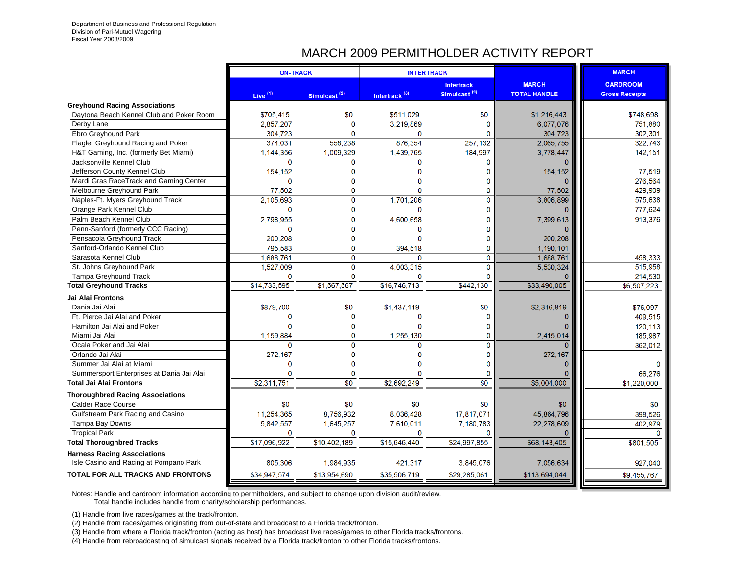## MARCH 2009 PERMITHOLDER ACTIVITY REPORT

|                                           | <b>ON-TRACK</b>     |                          | <b>INTERTRACK</b>         |                          |                     | <b>MARCH</b>          |
|-------------------------------------------|---------------------|--------------------------|---------------------------|--------------------------|---------------------|-----------------------|
|                                           |                     |                          |                           | <b>Intertrack</b>        | <b>MARCH</b>        | <b>CARDROOM</b>       |
|                                           | Live <sup>(1)</sup> | Simulcast <sup>(2)</sup> | Intertrack <sup>(3)</sup> | Simulcast <sup>(4)</sup> | <b>TOTAL HANDLE</b> | <b>Gross Receipts</b> |
| <b>Greyhound Racing Associations</b>      |                     |                          |                           |                          |                     |                       |
| Daytona Beach Kennel Club and Poker Room  | \$705,415           | \$0                      | \$511,029                 | \$0                      | \$1,216,443         | \$748.698             |
| Derby Lane                                | 2,857,207           | $\mathbf{0}$             | 3,219,869                 | $\mathbf{0}$             | 6,077,076           | 751,880               |
| Ebro Greyhound Park                       | 304,723             | $\mathbf{0}$             | 0                         | $\Omega$                 | 304,723             | 302,301               |
| Flagler Greyhound Racing and Poker        | 374,031             | 558,238                  | 876,354                   | 257,132                  | 2,065,755           | 322,743               |
| H&T Gaming, Inc. (formerly Bet Miami)     | 1,144,356           | 1,009,329                | 1,439,765                 | 184,997                  | 3,778,447           | 142, 151              |
| Jacksonville Kennel Club                  | $\Omega$            | 0                        | $\Omega$                  | $\Omega$                 |                     |                       |
| Jefferson County Kennel Club              | 154,152             | 0                        | $\Omega$                  | $\Omega$                 | 154,152             | 77,519                |
| Mardi Gras RaceTrack and Gaming Center    | $\Omega$            | $\Omega$                 | $\Omega$                  | 0                        | $\Omega$            | 276,564               |
| Melbourne Greyhound Park                  | 77,502              | 0                        | $\Omega$                  | $\mathbf 0$              | 77,502              | 429,909               |
| Naples-Ft. Myers Greyhound Track          | 2,105,693           | $\mathbf 0$              | 1,701,206                 | $\mathbf 0$              | 3,806,899           | 575,638               |
| Orange Park Kennel Club                   | $\Omega$            | $\Omega$                 | $\Omega$                  | O                        | $\Omega$            | 777.624               |
| Palm Beach Kennel Club                    | 2,798,955           | $\Omega$                 | 4,600,658                 | $\Omega$                 | 7,399,613           | 913,376               |
| Penn-Sanford (formerly CCC Racing)        | O                   | 0                        |                           | O                        |                     |                       |
| Pensacola Greyhound Track                 | 200.208             | $\Omega$                 | $\Omega$                  | $\Omega$                 | 200.208             |                       |
| Sanford-Orlando Kennel Club               | 795,583             | $\Omega$                 | 394,518                   | $\mathbf{0}$             | 1,190,101           |                       |
| Sarasota Kennel Club                      | 1,688,761           | $\mathbf 0$              | $\Omega$                  | $\mathbf 0$              | 1.688.761           | 458,333               |
| St. Johns Greyhound Park                  | 1,527,009           | $\mathbf 0$              | 4,003,315                 | $\mathbf 0$              | 5.530.324           | 515,958               |
| Tampa Greyhound Track                     | $\Omega$            | $\Omega$                 | $\Omega$                  | $\Omega$                 | $\Omega$            | 214,530               |
| <b>Total Greyhound Tracks</b>             | \$14,733,595        | \$1,567,567              | \$16,746,713              | \$442,130                | \$33,490,005        | \$6,507,223           |
| Jai Alai Frontons                         |                     |                          |                           |                          |                     |                       |
| Dania Jai Alai                            | \$879,700           | \$0                      | \$1,437,119               | \$0                      | \$2,316,819         | \$76,097              |
| Ft. Pierce Jai Alai and Poker             | $\Omega$            | $\mathbf{0}$             | ∩                         | $\Omega$                 | $\Omega$            | 409,515               |
| Hamilton Jai Alai and Poker               | $\Omega$            | $\Omega$                 | ∩                         | $\Omega$                 | $\Omega$            | 120,113               |
| Miami Jai Alai                            | 1.159.884           | $\mathbf 0$              | 1,255,130                 | $\mathbf 0$              | 2,415,014           | 185,987               |
| Ocala Poker and Jai Alai                  | $\Omega$            | $\mathbf 0$              | $\Omega$                  | $\mathbf 0$              | $\Omega$            | 362,012               |
| Orlando Jai Alai                          | 272,167             | $\mathbf 0$              | $\Omega$                  | $\mathbf 0$              | 272,167             |                       |
| Summer Jai Alai at Miami                  | $\Omega$            | $\overline{0}$           |                           | $\Omega$                 | $\Omega$            | $\Omega$              |
| Summersport Enterprises at Dania Jai Alai | $\Omega$            | $\Omega$                 |                           | O                        | $\Omega$            | 66,276                |
| <b>Total Jai Alai Frontons</b>            | \$2,311,751         | \$0                      | \$2,692,249               | $\overline{30}$          | \$5,004,000         | \$1,220,000           |
| <b>Thoroughbred Racing Associations</b>   |                     |                          |                           |                          |                     |                       |
| <b>Calder Race Course</b>                 | \$0                 | \$0                      | \$0                       | \$0                      | \$0                 | \$0                   |
| Gulfstream Park Racing and Casino         | 11,254,365          | 8,756,932                | 8,036,428                 | 17,817,071               | 45,864,796          | 398,526               |
| Tampa Bay Downs                           | 5,842,557           | 1,645,257                | 7,610,011                 | 7,180,783                | 22,278,609          | 402,979               |
| <b>Tropical Park</b>                      | $\Omega$            | $\Omega$                 | $\Omega$                  | $\Omega$                 | $\Omega$            | $\Omega$              |
| <b>Total Thoroughbred Tracks</b>          | \$17,096,922        | \$10,402,189             | \$15,646,440              | \$24,997.855             | \$68,143,405        | \$801,505             |
| <b>Harness Racing Associations</b>        |                     |                          |                           |                          |                     |                       |
| Isle Casino and Racing at Pompano Park    | 805,306             | 1,984,935                | 421,317                   | 3,845,076                | 7,056,634           | 927,040               |
| <b>TOTAL FOR ALL TRACKS AND FRONTONS</b>  | \$34,947,574        | \$13,954,690             | \$35,506,719              | \$29,285,061             | \$113,694,044       | \$9.455.767           |

Notes: Handle and cardroom information according to permitholders, and subject to change upon division audit/review.

Total handle includes handle from charity/scholarship performances.

(1) Handle from live races/games at the track/fronton.

(2) Handle from races/games originating from out-of-state and broadcast to a Florida track/fronton.

(3) Handle from where a Florida track/fronton (acting as host) has broadcast live races/games to other Florida tracks/frontons.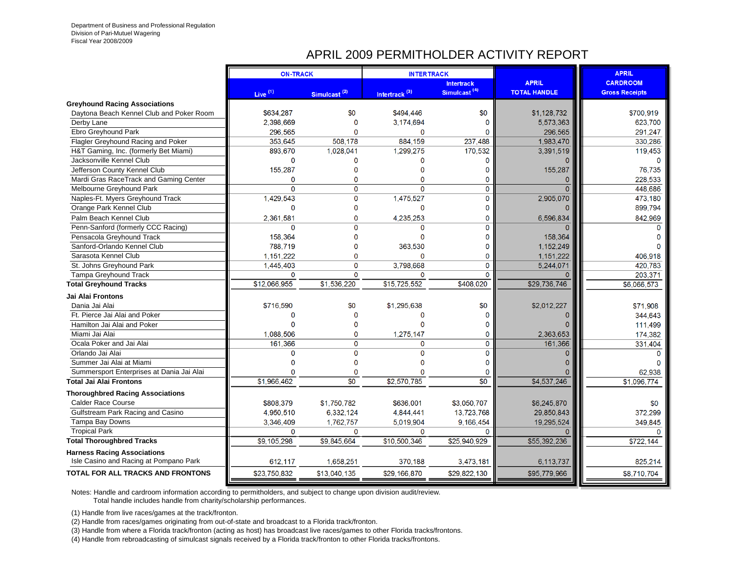#### APRIL 2009 PERMITHOLDER ACTIVITY REPORT

|                                           | <b>ON-TRACK</b>     |                          | <b>INTERTRACK</b>         |                          |                     | <b>APRIL</b>          |
|-------------------------------------------|---------------------|--------------------------|---------------------------|--------------------------|---------------------|-----------------------|
|                                           |                     |                          |                           | <b>Intertrack</b>        | <b>APRIL</b>        | <b>CARDROOM</b>       |
|                                           | Live <sup>(1)</sup> | Simulcast <sup>(2)</sup> | Intertrack <sup>(3)</sup> | Simulcast <sup>(4)</sup> | <b>TOTAL HANDLE</b> | <b>Gross Receipts</b> |
| <b>Greyhound Racing Associations</b>      |                     |                          |                           |                          |                     |                       |
| Daytona Beach Kennel Club and Poker Room  | \$634,287           | \$0                      | \$494,446                 | \$0                      | \$1,128,732         | \$700,919             |
| Derby Lane                                | 2,398,669           | 0                        | 3,174,694                 | 0                        | 5,573,363           | 623,700               |
| Ebro Greyhound Park                       | 296.565             | $\mathbf 0$              | 0                         | $\Omega$                 | 296,565             | 291,247               |
| Flagler Greyhound Racing and Poker        | 353.645             | 508.178                  | 884,159                   | 237.488                  | 1,983,470           | 330,286               |
| H&T Gaming, Inc. (formerly Bet Miami)     | 893.670             | 1,028,041                | 1,299,275                 | 170.532                  | 3,391,519           | 119.453               |
| Jacksonville Kennel Club                  | $\mathbf 0$         | 0                        | $\Omega$                  | $\mathbf{0}$             |                     |                       |
| Jefferson County Kennel Club              | 155,287             | 0                        | $\Omega$                  | O                        | 155,287             | 76,735                |
| Mardi Gras RaceTrack and Gaming Center    | $\mathbf 0$         | 0                        | $\Omega$                  | 0                        | O                   | 228,533               |
| Melbourne Greyhound Park                  | $\mathbf 0$         | $\overline{0}$           | $\Omega$                  | $\overline{0}$           | $\Omega$            | 448,686               |
| Naples-Ft. Myers Greyhound Track          | 1,429,543           | 0                        | 1,475,527                 | 0                        | 2,905,070           | 473,180               |
| Orange Park Kennel Club                   | $\Omega$            | 0                        | $\Omega$                  | 0                        |                     | 899,794               |
| Palm Beach Kennel Club                    | 2,361,581           | $\overline{0}$           | 4.235.253                 | $\mathbf{0}$             | 6,596,834           | 842.969               |
| Penn-Sanford (formerly CCC Racing)        | $\mathbf{0}$        | $\mathbf{0}$             | $\mathbf{0}$              | 0                        |                     | n                     |
| Pensacola Greyhound Track                 | 158,364             | $\Omega$                 | $\Omega$                  | 0                        | 158,364             |                       |
| Sanford-Orlando Kennel Club               | 788,719             | $\Omega$                 | 363,530                   | 0                        | 1,152,249           |                       |
| Sarasota Kennel Club                      | 1,151,222           | $\mathbf{0}$             | $\Omega$                  | 0                        | 1,151,222           | 406,918               |
| St. Johns Greyhound Park                  | 1,445,403           | 0                        | 3,798,668                 | 0                        | 5,244,071           | 420,783               |
| Tampa Greyhound Track                     | $\mathbf 0$         | $\mathbf 0$              | $\mathbf 0$               | $\Omega$                 | $\Omega$            | 203,371               |
| <b>Total Greyhound Tracks</b>             | \$12,066,955        | \$1,536,220              | \$15,725,552              | \$408,020                | \$29,736,746        | \$6,066,573           |
| Jai Alai Frontons                         |                     |                          |                           |                          |                     |                       |
| Dania Jai Alai                            | \$716,590           | \$0                      | \$1.295.638               | \$0                      | \$2,012,227         | \$71,908              |
| Ft. Pierce Jai Alai and Poker             | $\mathbf{0}$        | $\mathbf 0$              | $\Omega$                  | 0                        |                     | 344.643               |
| Hamilton Jai Alai and Poker               | $\Omega$            | $\overline{0}$           | $\mathbf{0}$              | 0                        |                     | 111,499               |
| Miami Jai Alai                            | 1,088,506           | 0                        | 1,275,147                 | 0                        | 2,363,653           | 174,382               |
| Ocala Poker and Jai Alai                  | 161,366             | $\Omega$                 | $\mathbf 0$               | 0                        | 161,366             | 331,404               |
| Orlando Jai Alai                          | $\Omega$            | $\Omega$                 | $\Omega$                  | $\Omega$                 |                     | $\Omega$              |
| Summer Jai Alai at Miami                  | $\Omega$            | $\Omega$                 |                           | 0                        |                     |                       |
| Summersport Enterprises at Dania Jai Alai |                     | $\Omega$                 |                           | $\Omega$                 |                     | 62.938                |
| <b>Total Jai Alai Frontons</b>            | \$1,966,462         | $\overline{30}$          | \$2,570,785               | $\overline{50}$          | \$4,537,246         | \$1,096,774           |
| <b>Thoroughbred Racing Associations</b>   |                     |                          |                           |                          |                     |                       |
| Calder Race Course                        | \$808.379           | \$1,750,782              | \$636.001                 | \$3.050.707              | \$6.245.870         | \$0                   |
| Gulfstream Park Racing and Casino         | 4,950,510           | 6,332,124                | 4,844,441                 | 13,723,768               | 29,850,843          | 372.299               |
| Tampa Bay Downs                           | 3,346,409           | 1,762,757                | 5,019,904                 | 9,166,454                | 19,295,524          | 349.845               |
| <b>Tropical Park</b>                      | $\Omega$            | $\mathbf 0$              | $\mathbf 0$               | $\Omega$                 | O                   | $\Omega$              |
| <b>Total Thoroughbred Tracks</b>          | \$9,105,298         | \$9,845,664              | \$10,500,346              | \$25,940,929             | \$55,392,236        | \$722,144             |
| <b>Harness Racing Associations</b>        |                     |                          |                           |                          |                     |                       |
| Isle Casino and Racing at Pompano Park    | 612,117             | 1,658,251                | 370,188                   | 3,473,181                | 6,113,737           | 825.214               |
| <b>TOTAL FOR ALL TRACKS AND FRONTONS</b>  | \$23.750.832        | \$13.040.135             | \$29,166.870              | \$29,822,130             | \$95,779,966        | \$8,710,704           |
|                                           |                     |                          |                           |                          |                     |                       |

Notes: Handle and cardroom information according to permitholders, and subject to change upon division audit/review.

Total handle includes handle from charity/scholarship performances.

(1) Handle from live races/games at the track/fronton.

(2) Handle from races/games originating from out-of-state and broadcast to a Florida track/fronton.

(3) Handle from where a Florida track/fronton (acting as host) has broadcast live races/games to other Florida tracks/frontons.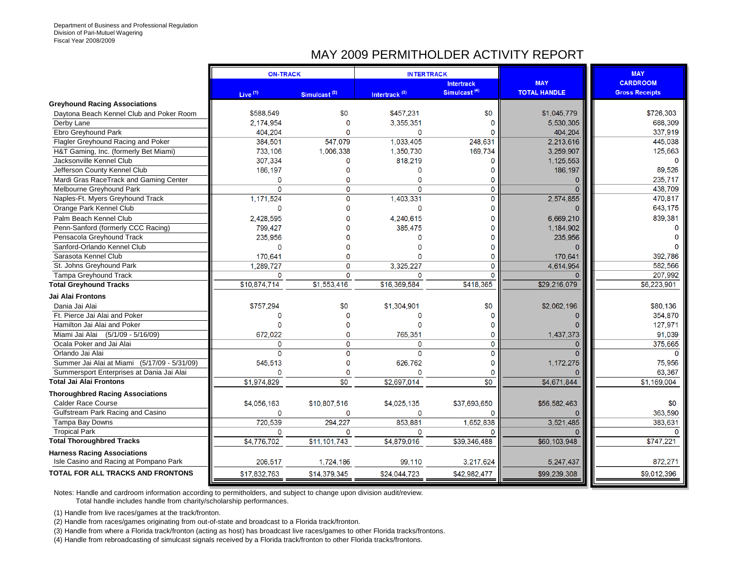#### MAY 2009 PERMITHOLDER ACTIVITY REPORT

|                                                                              | <b>ON-TRACK</b>     |                          | <b>INTERTRACK</b>         |                          |                     | <b>MAY</b>            |
|------------------------------------------------------------------------------|---------------------|--------------------------|---------------------------|--------------------------|---------------------|-----------------------|
|                                                                              |                     |                          |                           | <b>Intertrack</b>        | <b>MAY</b>          | <b>CARDROOM</b>       |
|                                                                              | Live <sup>(1)</sup> | Simulcast <sup>(2)</sup> | Intertrack <sup>(3)</sup> | Simulcast <sup>(4)</sup> | <b>TOTAL HANDLE</b> | <b>Gross Receipts</b> |
| <b>Greyhound Racing Associations</b>                                         |                     | \$0                      |                           | \$0                      |                     |                       |
| Daytona Beach Kennel Club and Poker Room                                     | \$588,549           |                          | \$457,231                 |                          | \$1,045,779         | \$726,303             |
| Derby Lane                                                                   | 2.174.954           | $\Omega$                 | 3,355,351                 | $\Omega$                 | 5,530,305           | 688.309               |
| Ebro Greyhound Park                                                          | 404.204             | $\Omega$                 | $\Omega$                  | $\Omega$                 | 404,204             | 337,919               |
| Flagler Greyhound Racing and Poker                                           | 384,501             | 547,079                  | 1,033,405                 | 248,631                  | 2,213,616           | 445,038               |
| H&T Gaming, Inc. (formerly Bet Miami)                                        | 733.106             | 1.006.338                | 1.350.730                 | 169.734                  | 3.259.907           | 125,663               |
| Jacksonville Kennel Club                                                     | 307,334             | 0                        | 818.219                   | $\mathbf 0$              | 1.125.553           | $\Omega$              |
| Jefferson County Kennel Club                                                 | 186,197             | $\Omega$                 | $\Omega$                  | $\mathbf 0$              | 186, 197            | 89.526                |
| Mardi Gras RaceTrack and Gaming Center                                       | $\mathbf{0}$        | 0                        | 0                         | $\mathbf 0$              | $\mathbf{0}$        | 235,717               |
| Melbourne Greyhound Park                                                     | $\Omega$            | $\mathbf{0}$             | $\Omega$                  | $\mathbf 0$              | Ō                   | 438.709               |
| Naples-Ft. Myers Greyhound Track                                             | 1,171,524           | 0                        | 1,403,331                 | $\overline{0}$           | 2,574,855           | 470,817               |
| Orange Park Kennel Club                                                      | $\mathbf{0}$        | $\Omega$                 | $\mathbf{0}$              | $\Omega$                 |                     | 643,175               |
| Palm Beach Kennel Club                                                       | 2,428,595           | $\Omega$                 | 4,240,615                 | $\overline{0}$           | 6,669,210           | 839.381               |
| Penn-Sanford (formerly CCC Racing)                                           | 799,427             | $\Omega$                 | 385,475                   | $\mathbf 0$              | 1,184,902           |                       |
| Pensacola Greyhound Track                                                    | 235,956             | $\Omega$                 | O                         | $\mathbf 0$              | 235,956             |                       |
| Sanford-Orlando Kennel Club                                                  | $\mathbf{0}$        | $\Omega$                 |                           | $\Omega$                 |                     |                       |
| Sarasota Kennel Club                                                         | 170,641             | $\Omega$                 | O                         | 0                        | 170,641             | 392,786               |
| St. Johns Greyhound Park                                                     | 1.289.727           | 0                        | 3,325,227                 | 0                        | 4,614,954           | 582,566               |
| Tampa Greyhound Track                                                        | 0                   | $\Omega$                 | $\Omega$                  | $\Omega$                 | n                   | 207,992               |
| <b>Total Greyhound Tracks</b>                                                | \$10,874,714        | \$1,553,416              | \$16,369.584              | \$418,365                | \$29,216,079        | \$6,223,901           |
| Jai Alai Frontons                                                            |                     |                          |                           |                          |                     |                       |
| Dania Jai Alai                                                               | \$757,294           | \$0                      | \$1,304,901               | \$0                      | \$2,062,196         | \$80,136              |
| Ft. Pierce Jai Alai and Poker                                                | $\Omega$            | $\Omega$                 | 0                         | $\mathbf 0$              |                     | 354,870               |
| Hamilton Jai Alai and Poker                                                  | $\Omega$            | $\Omega$                 | n                         | $\mathbf 0$              | O                   | 127,971               |
| Miami Jai Alai (5/1/09 - 5/16/09)                                            | 672,022             | 0                        | 765,351                   | $\mathbf 0$              | 1,437,373           | 91,039                |
| Ocala Poker and Jai Alai                                                     | $\Omega$            | $\Omega$                 | $\mathbf{0}$              | $\mathbf{0}$             | $\overline{0}$      | 375.665               |
| Orlando Jai Alai                                                             | $\mathbf{0}$        | $\overline{0}$           | $\mathbf{O}$              | $\mathbf 0$              | $\overline{0}$      | $\Omega$              |
| Summer Jai Alai at Miami (5/17/09 - 5/31/09)                                 | 545,513             | $\overline{0}$           | 626.762                   | $\Omega$                 | 1,172,275           | 75,956                |
| Summersport Enterprises at Dania Jai Alai                                    | $\Omega$            | $\Omega$                 | $\Omega$                  | $\mathbf 0$              |                     | 63,367                |
| <b>Total Jai Alai Frontons</b>                                               | \$1,974,829         | \$0                      | \$2,697,014               | \$0                      | \$4,671,844         | \$1,169,004           |
| <b>Thoroughbred Racing Associations</b>                                      |                     |                          |                           |                          |                     |                       |
| <b>Calder Race Course</b>                                                    | \$4,056,163         | \$10,807,516             | \$4,025,135               | \$37,693,650             | \$56,582,463        | \$0                   |
| Gulfstream Park Racing and Casino                                            | $\mathbf{0}$        | 0                        | 0                         | 0                        |                     | 363,590               |
| Tampa Bay Downs                                                              | 720,539             | 294.227                  | 853,881                   | 1,652,838                | 3,521,485           | 383.631               |
| <b>Tropical Park</b>                                                         | $\Omega$            | $\Omega$                 | 0                         | $\Omega$                 |                     | $\Omega$              |
| <b>Total Thoroughbred Tracks</b>                                             | \$4,776,702         | \$11,101.743             | \$4,879,016               | \$39,346,488             | \$60,103,948        | \$747,221             |
|                                                                              |                     |                          |                           |                          |                     |                       |
| <b>Harness Racing Associations</b><br>Isle Casino and Racing at Pompano Park | 206.517             | 1,724,186                | 99.110                    | 3,217,624                | 5,247,437           | 872,271               |
| <b>TOTAL FOR ALL TRACKS AND FRONTONS</b>                                     | \$17,832,763        | \$14,379,345             | \$24,044,723              | \$42,982,477             | \$99,239,308        | \$9,012,396           |

Notes: Handle and cardroom information according to permitholders, and subject to change upon division audit/review.

Total handle includes handle from charity/scholarship performances.

(1) Handle from live races/games at the track/fronton.

(2) Handle from races/games originating from out-of-state and broadcast to a Florida track/fronton.

(3) Handle from where a Florida track/fronton (acting as host) has broadcast live races/games to other Florida tracks/frontons.